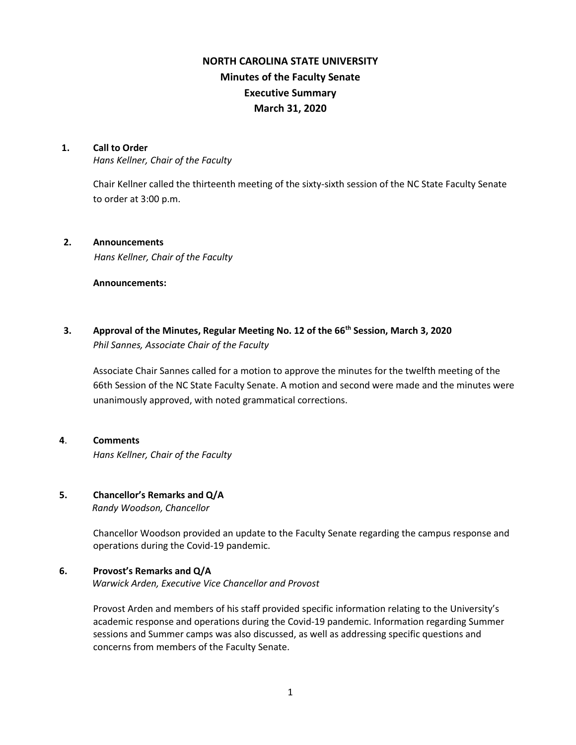# **NORTH CAROLINA STATE UNIVERSITY Minutes of the Faculty Senate Executive Summary March 31, 2020**

### **1. Call to Order**

*Hans Kellner, Chair of the Faculty*

Chair Kellner called the thirteenth meeting of the sixty-sixth session of the NC State Faculty Senate to order at 3:00 p.m.

### **2. Announcements**

*Hans Kellner, Chair of the Faculty*

### **Announcements:**

**3. Approval of the Minutes, Regular Meeting No. 12 of the 66th Session, March 3, 2020** *Phil Sannes, Associate Chair of the Faculty*

Associate Chair Sannes called for a motion to approve the minutes for the twelfth meeting of the 66th Session of the NC State Faculty Senate. A motion and second were made and the minutes were unanimously approved, with noted grammatical corrections.

# **4**. **Comments** *Hans Kellner, Chair of the Faculty*

### **5. Chancellor's Remarks and Q/A**

 *Randy Woodson, Chancellor*

Chancellor Woodson provided an update to the Faculty Senate regarding the campus response and operations during the Covid-19 pandemic.

### **6. Provost's Remarks and Q/A**

 *Warwick Arden, Executive Vice Chancellor and Provost*

Provost Arden and members of his staff provided specific information relating to the University's academic response and operations during the Covid-19 pandemic. Information regarding Summer sessions and Summer camps was also discussed, as well as addressing specific questions and concerns from members of the Faculty Senate.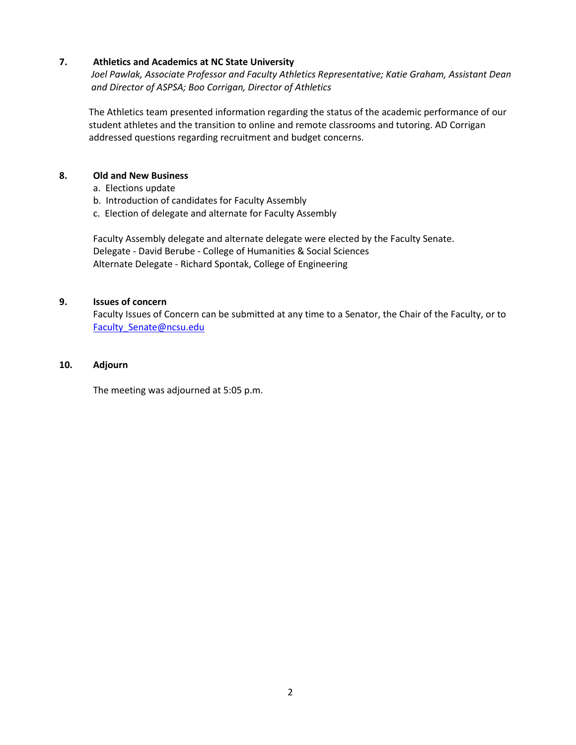### **7. Athletics and Academics at NC State University**

*Joel Pawlak, Associate Professor and Faculty Athletics Representative; Katie Graham, Assistant Dean and Director of ASPSA; Boo Corrigan, Director of Athletics* 

The Athletics team presented information regarding the status of the academic performance of our student athletes and the transition to online and remote classrooms and tutoring. AD Corrigan addressed questions regarding recruitment and budget concerns.

### **8. Old and New Business**

- a. Elections update
- b. Introduction of candidates for Faculty Assembly
- c. Election of delegate and alternate for Faculty Assembly

Faculty Assembly delegate and alternate delegate were elected by the Faculty Senate. Delegate - David Berube - College of Humanities & Social Sciences Alternate Delegate - Richard Spontak, College of Engineering

### **9. Issues of concern**

Faculty Issues of Concern can be submitted at any time to a Senator, the Chair of the Faculty, or to [Faculty\\_Senate@ncsu.edu](mailto:Faculty_Senate@ncsu.edu)

### **10. Adjourn**

The meeting was adjourned at 5:05 p.m.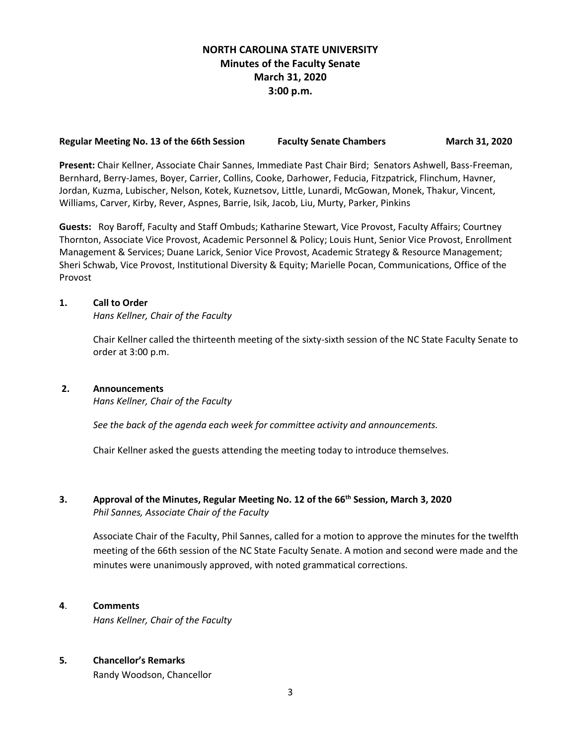## **NORTH CAROLINA STATE UNIVERSITY Minutes of the Faculty Senate March 31, 2020 3:00 p.m.**

### Regular Meeting No. 13 of the 66th Session Faculty Senate Chambers **March 31, 2020**

**Present:** Chair Kellner, Associate Chair Sannes, Immediate Past Chair Bird; Senators Ashwell, Bass-Freeman, Bernhard, Berry-James, Boyer, Carrier, Collins, Cooke, Darhower, Feducia, Fitzpatrick, Flinchum, Havner, Jordan, Kuzma, Lubischer, Nelson, Kotek, Kuznetsov, Little, Lunardi, McGowan, Monek, Thakur, Vincent, Williams, Carver, Kirby, Rever, Aspnes, Barrie, Isik, Jacob, Liu, Murty, Parker, Pinkins

**Guests:** Roy Baroff, Faculty and Staff Ombuds; Katharine Stewart, Vice Provost, Faculty Affairs; Courtney Thornton, Associate Vice Provost, Academic Personnel & Policy; Louis Hunt, Senior Vice Provost, Enrollment Management & Services; Duane Larick, Senior Vice Provost, Academic Strategy & Resource Management; Sheri Schwab, Vice Provost, Institutional Diversity & Equity; Marielle Pocan, Communications, Office of the Provost

### **1. Call to Order**

*Hans Kellner, Chair of the Faculty*

Chair Kellner called the thirteenth meeting of the sixty-sixth session of the NC State Faculty Senate to order at 3:00 p.m.

### **2. Announcements**

*Hans Kellner, Chair of the Faculty*

*See the back of the agenda each week for committee activity and announcements.*

Chair Kellner asked the guests attending the meeting today to introduce themselves.

### **3. Approval of the Minutes, Regular Meeting No. 12 of the 66th Session, March 3, 2020** *Phil Sannes, Associate Chair of the Faculty*

Associate Chair of the Faculty, Phil Sannes, called for a motion to approve the minutes for the twelfth meeting of the 66th session of the NC State Faculty Senate. A motion and second were made and the minutes were unanimously approved, with noted grammatical corrections.

### **4**. **Comments**

*Hans Kellner, Chair of the Faculty*

### **5***.* **Chancellor's Remarks**

Randy Woodson, Chancellor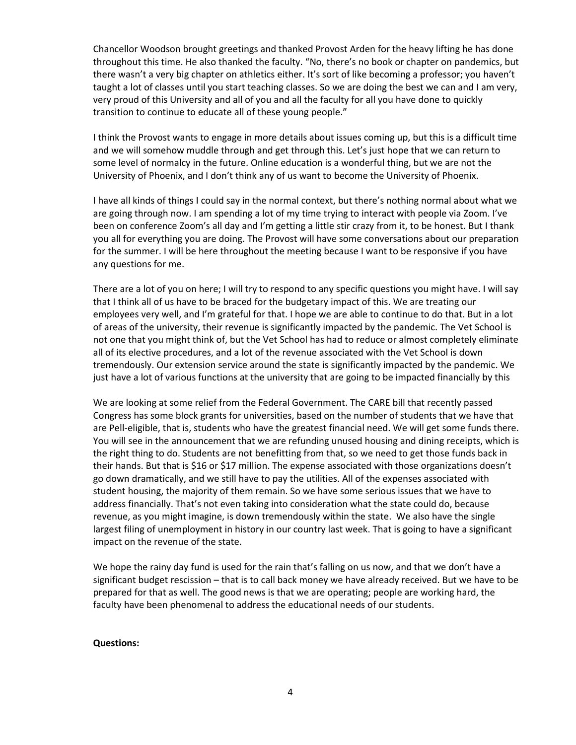Chancellor Woodson brought greetings and thanked Provost Arden for the heavy lifting he has done throughout this time. He also thanked the faculty. "No, there's no book or chapter on pandemics, but there wasn't a very big chapter on athletics either. It's sort of like becoming a professor; you haven't taught a lot of classes until you start teaching classes. So we are doing the best we can and I am very, very proud of this University and all of you and all the faculty for all you have done to quickly transition to continue to educate all of these young people."

I think the Provost wants to engage in more details about issues coming up, but this is a difficult time and we will somehow muddle through and get through this. Let's just hope that we can return to some level of normalcy in the future. Online education is a wonderful thing, but we are not the University of Phoenix, and I don't think any of us want to become the University of Phoenix.

I have all kinds of things I could say in the normal context, but there's nothing normal about what we are going through now. I am spending a lot of my time trying to interact with people via Zoom. I've been on conference Zoom's all day and I'm getting a little stir crazy from it, to be honest. But I thank you all for everything you are doing. The Provost will have some conversations about our preparation for the summer. I will be here throughout the meeting because I want to be responsive if you have any questions for me.

There are a lot of you on here; I will try to respond to any specific questions you might have. I will say that I think all of us have to be braced for the budgetary impact of this. We are treating our employees very well, and I'm grateful for that. I hope we are able to continue to do that. But in a lot of areas of the university, their revenue is significantly impacted by the pandemic. The Vet School is not one that you might think of, but the Vet School has had to reduce or almost completely eliminate all of its elective procedures, and a lot of the revenue associated with the Vet School is down tremendously. Our extension service around the state is significantly impacted by the pandemic. We just have a lot of various functions at the university that are going to be impacted financially by this

We are looking at some relief from the Federal Government. The CARE bill that recently passed Congress has some block grants for universities, based on the number of students that we have that are Pell-eligible, that is, students who have the greatest financial need. We will get some funds there. You will see in the announcement that we are refunding unused housing and dining receipts, which is the right thing to do. Students are not benefitting from that, so we need to get those funds back in their hands. But that is \$16 or \$17 million. The expense associated with those organizations doesn't go down dramatically, and we still have to pay the utilities. All of the expenses associated with student housing, the majority of them remain. So we have some serious issues that we have to address financially. That's not even taking into consideration what the state could do, because revenue, as you might imagine, is down tremendously within the state. We also have the single largest filing of unemployment in history in our country last week. That is going to have a significant impact on the revenue of the state.

We hope the rainy day fund is used for the rain that's falling on us now, and that we don't have a significant budget rescission – that is to call back money we have already received. But we have to be prepared for that as well. The good news is that we are operating; people are working hard, the faculty have been phenomenal to address the educational needs of our students.

#### **Questions:**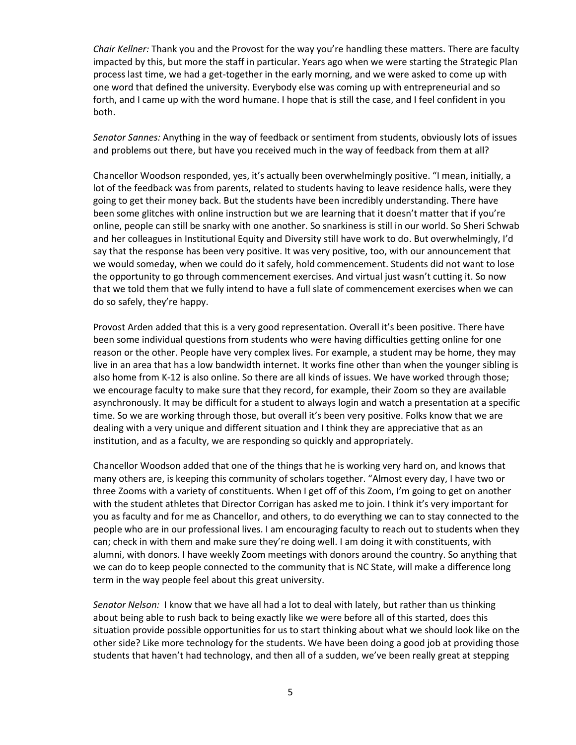*Chair Kellner:* Thank you and the Provost for the way you're handling these matters. There are faculty impacted by this, but more the staff in particular. Years ago when we were starting the Strategic Plan process last time, we had a get-together in the early morning, and we were asked to come up with one word that defined the university. Everybody else was coming up with entrepreneurial and so forth, and I came up with the word humane. I hope that is still the case, and I feel confident in you both.

*Senator Sannes:* Anything in the way of feedback or sentiment from students, obviously lots of issues and problems out there, but have you received much in the way of feedback from them at all?

Chancellor Woodson responded, yes, it's actually been overwhelmingly positive. "I mean, initially, a lot of the feedback was from parents, related to students having to leave residence halls, were they going to get their money back. But the students have been incredibly understanding. There have been some glitches with online instruction but we are learning that it doesn't matter that if you're online, people can still be snarky with one another. So snarkiness is still in our world. So Sheri Schwab and her colleagues in Institutional Equity and Diversity still have work to do. But overwhelmingly, I'd say that the response has been very positive. It was very positive, too, with our announcement that we would someday, when we could do it safely, hold commencement. Students did not want to lose the opportunity to go through commencement exercises. And virtual just wasn't cutting it. So now that we told them that we fully intend to have a full slate of commencement exercises when we can do so safely, they're happy.

Provost Arden added that this is a very good representation. Overall it's been positive. There have been some individual questions from students who were having difficulties getting online for one reason or the other. People have very complex lives. For example, a student may be home, they may live in an area that has a low bandwidth internet. It works fine other than when the younger sibling is also home from K-12 is also online. So there are all kinds of issues. We have worked through those; we encourage faculty to make sure that they record, for example, their Zoom so they are available asynchronously. It may be difficult for a student to always login and watch a presentation at a specific time. So we are working through those, but overall it's been very positive. Folks know that we are dealing with a very unique and different situation and I think they are appreciative that as an institution, and as a faculty, we are responding so quickly and appropriately.

Chancellor Woodson added that one of the things that he is working very hard on, and knows that many others are, is keeping this community of scholars together. "Almost every day, I have two or three Zooms with a variety of constituents. When I get off of this Zoom, I'm going to get on another with the student athletes that Director Corrigan has asked me to join. I think it's very important for you as faculty and for me as Chancellor, and others, to do everything we can to stay connected to the people who are in our professional lives. I am encouraging faculty to reach out to students when they can; check in with them and make sure they're doing well. I am doing it with constituents, with alumni, with donors. I have weekly Zoom meetings with donors around the country. So anything that we can do to keep people connected to the community that is NC State, will make a difference long term in the way people feel about this great university.

*Senator Nelson:* I know that we have all had a lot to deal with lately, but rather than us thinking about being able to rush back to being exactly like we were before all of this started, does this situation provide possible opportunities for us to start thinking about what we should look like on the other side? Like more technology for the students. We have been doing a good job at providing those students that haven't had technology, and then all of a sudden, we've been really great at stepping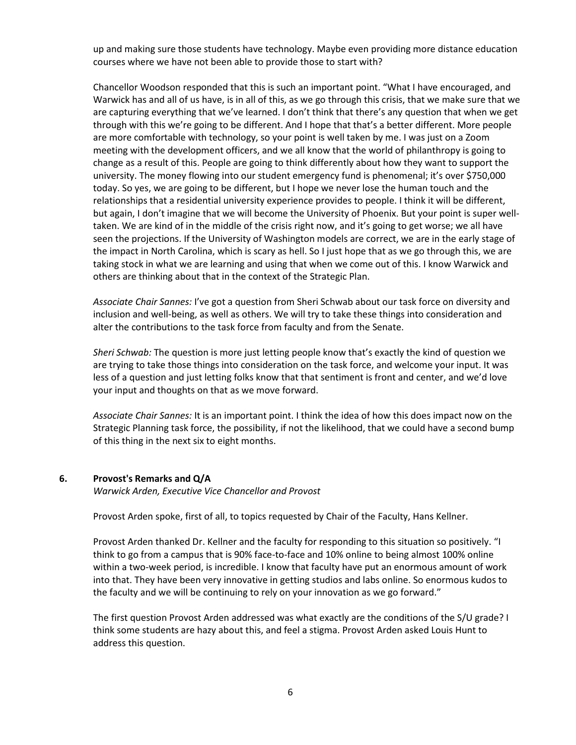up and making sure those students have technology. Maybe even providing more distance education courses where we have not been able to provide those to start with?

Chancellor Woodson responded that this is such an important point. "What I have encouraged, and Warwick has and all of us have, is in all of this, as we go through this crisis, that we make sure that we are capturing everything that we've learned. I don't think that there's any question that when we get through with this we're going to be different. And I hope that that's a better different. More people are more comfortable with technology, so your point is well taken by me. I was just on a Zoom meeting with the development officers, and we all know that the world of philanthropy is going to change as a result of this. People are going to think differently about how they want to support the university. The money flowing into our student emergency fund is phenomenal; it's over \$750,000 today. So yes, we are going to be different, but I hope we never lose the human touch and the relationships that a residential university experience provides to people. I think it will be different, but again, I don't imagine that we will become the University of Phoenix. But your point is super welltaken. We are kind of in the middle of the crisis right now, and it's going to get worse; we all have seen the projections. If the University of Washington models are correct, we are in the early stage of the impact in North Carolina, which is scary as hell. So I just hope that as we go through this, we are taking stock in what we are learning and using that when we come out of this. I know Warwick and others are thinking about that in the context of the Strategic Plan.

*Associate Chair Sannes:* I've got a question from Sheri Schwab about our task force on diversity and inclusion and well-being, as well as others. We will try to take these things into consideration and alter the contributions to the task force from faculty and from the Senate.

*Sheri Schwab:* The question is more just letting people know that's exactly the kind of question we are trying to take those things into consideration on the task force, and welcome your input. It was less of a question and just letting folks know that that sentiment is front and center, and we'd love your input and thoughts on that as we move forward.

*Associate Chair Sannes:* It is an important point. I think the idea of how this does impact now on the Strategic Planning task force, the possibility, if not the likelihood, that we could have a second bump of this thing in the next six to eight months.

#### **6. Provost's Remarks and Q/A**

*Warwick Arden, Executive Vice Chancellor and Provost*

Provost Arden spoke, first of all, to topics requested by Chair of the Faculty, Hans Kellner.

Provost Arden thanked Dr. Kellner and the faculty for responding to this situation so positively. "I think to go from a campus that is 90% face-to-face and 10% online to being almost 100% online within a two-week period, is incredible. I know that faculty have put an enormous amount of work into that. They have been very innovative in getting studios and labs online. So enormous kudos to the faculty and we will be continuing to rely on your innovation as we go forward."

The first question Provost Arden addressed was what exactly are the conditions of the S/U grade? I think some students are hazy about this, and feel a stigma. Provost Arden asked Louis Hunt to address this question.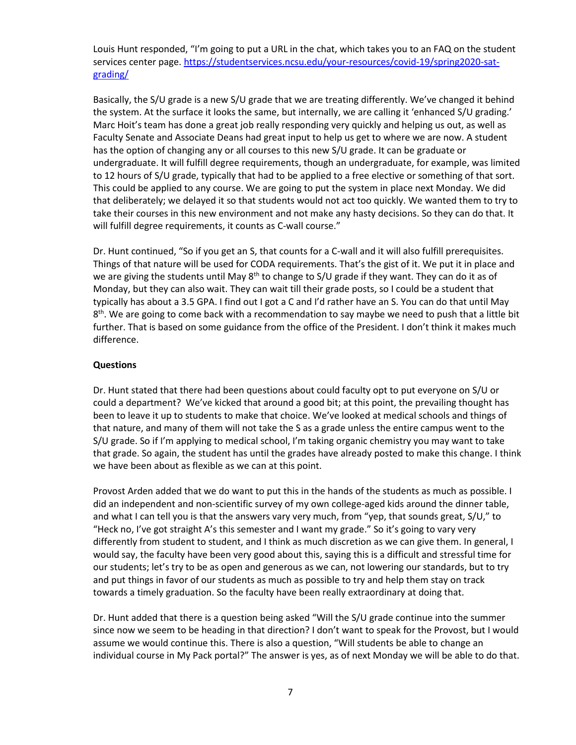Louis Hunt responded, "I'm going to put a URL in the chat, which takes you to an FAQ on the student services center page. [https://studentservices.ncsu.edu/your-resources/covid-19/spring2020-sat](https://studentservices.ncsu.edu/your-resources/covid-19/spring2020-sat-grading/)[grading/](https://studentservices.ncsu.edu/your-resources/covid-19/spring2020-sat-grading/)

Basically, the S/U grade is a new S/U grade that we are treating differently. We've changed it behind the system. At the surface it looks the same, but internally, we are calling it 'enhanced S/U grading.' Marc Hoit's team has done a great job really responding very quickly and helping us out, as well as Faculty Senate and Associate Deans had great input to help us get to where we are now. A student has the option of changing any or all courses to this new S/U grade. It can be graduate or undergraduate. It will fulfill degree requirements, though an undergraduate, for example, was limited to 12 hours of S/U grade, typically that had to be applied to a free elective or something of that sort. This could be applied to any course. We are going to put the system in place next Monday. We did that deliberately; we delayed it so that students would not act too quickly. We wanted them to try to take their courses in this new environment and not make any hasty decisions. So they can do that. It will fulfill degree requirements, it counts as C-wall course."

Dr. Hunt continued, "So if you get an S, that counts for a C-wall and it will also fulfill prerequisites. Things of that nature will be used for CODA requirements. That's the gist of it. We put it in place and we are giving the students until May 8<sup>th</sup> to change to S/U grade if they want. They can do it as of Monday, but they can also wait. They can wait till their grade posts, so I could be a student that typically has about a 3.5 GPA. I find out I got a C and I'd rather have an S. You can do that until May 8<sup>th</sup>. We are going to come back with a recommendation to say maybe we need to push that a little bit further. That is based on some guidance from the office of the President. I don't think it makes much difference.

### **Questions**

Dr. Hunt stated that there had been questions about could faculty opt to put everyone on S/U or could a department? We've kicked that around a good bit; at this point, the prevailing thought has been to leave it up to students to make that choice. We've looked at medical schools and things of that nature, and many of them will not take the S as a grade unless the entire campus went to the S/U grade. So if I'm applying to medical school, I'm taking organic chemistry you may want to take that grade. So again, the student has until the grades have already posted to make this change. I think we have been about as flexible as we can at this point.

Provost Arden added that we do want to put this in the hands of the students as much as possible. I did an independent and non-scientific survey of my own college-aged kids around the dinner table, and what I can tell you is that the answers vary very much, from "yep, that sounds great, S/U," to "Heck no, I've got straight A's this semester and I want my grade." So it's going to vary very differently from student to student, and I think as much discretion as we can give them. In general, I would say, the faculty have been very good about this, saying this is a difficult and stressful time for our students; let's try to be as open and generous as we can, not lowering our standards, but to try and put things in favor of our students as much as possible to try and help them stay on track towards a timely graduation. So the faculty have been really extraordinary at doing that.

Dr. Hunt added that there is a question being asked "Will the S/U grade continue into the summer since now we seem to be heading in that direction? I don't want to speak for the Provost, but I would assume we would continue this. There is also a question, "Will students be able to change an individual course in My Pack portal?" The answer is yes, as of next Monday we will be able to do that.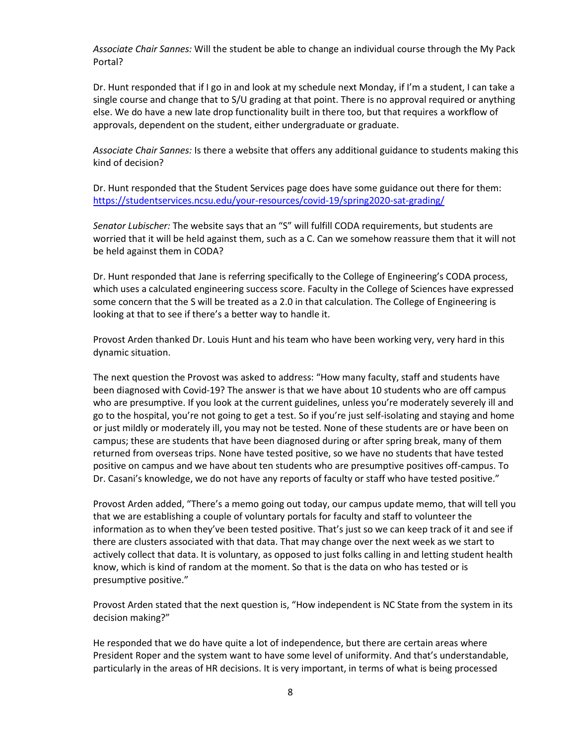*Associate Chair Sannes:* Will the student be able to change an individual course through the My Pack Portal?

Dr. Hunt responded that if I go in and look at my schedule next Monday, if I'm a student, I can take a single course and change that to S/U grading at that point. There is no approval required or anything else. We do have a new late drop functionality built in there too, but that requires a workflow of approvals, dependent on the student, either undergraduate or graduate.

*Associate Chair Sannes:* Is there a website that offers any additional guidance to students making this kind of decision?

Dr. Hunt responded that the Student Services page does have some guidance out there for them: <https://studentservices.ncsu.edu/your-resources/covid-19/spring2020-sat-grading/>

*Senator Lubischer:* The website says that an "S" will fulfill CODA requirements, but students are worried that it will be held against them, such as a C. Can we somehow reassure them that it will not be held against them in CODA?

Dr. Hunt responded that Jane is referring specifically to the College of Engineering's CODA process, which uses a calculated engineering success score. Faculty in the College of Sciences have expressed some concern that the S will be treated as a 2.0 in that calculation. The College of Engineering is looking at that to see if there's a better way to handle it.

Provost Arden thanked Dr. Louis Hunt and his team who have been working very, very hard in this dynamic situation.

The next question the Provost was asked to address: "How many faculty, staff and students have been diagnosed with Covid-19? The answer is that we have about 10 students who are off campus who are presumptive. If you look at the current guidelines, unless you're moderately severely ill and go to the hospital, you're not going to get a test. So if you're just self-isolating and staying and home or just mildly or moderately ill, you may not be tested. None of these students are or have been on campus; these are students that have been diagnosed during or after spring break, many of them returned from overseas trips. None have tested positive, so we have no students that have tested positive on campus and we have about ten students who are presumptive positives off-campus. To Dr. Casani's knowledge, we do not have any reports of faculty or staff who have tested positive."

Provost Arden added, "There's a memo going out today, our campus update memo, that will tell you that we are establishing a couple of voluntary portals for faculty and staff to volunteer the information as to when they've been tested positive. That's just so we can keep track of it and see if there are clusters associated with that data. That may change over the next week as we start to actively collect that data. It is voluntary, as opposed to just folks calling in and letting student health know, which is kind of random at the moment. So that is the data on who has tested or is presumptive positive."

Provost Arden stated that the next question is, "How independent is NC State from the system in its decision making?"

He responded that we do have quite a lot of independence, but there are certain areas where President Roper and the system want to have some level of uniformity. And that's understandable, particularly in the areas of HR decisions. It is very important, in terms of what is being processed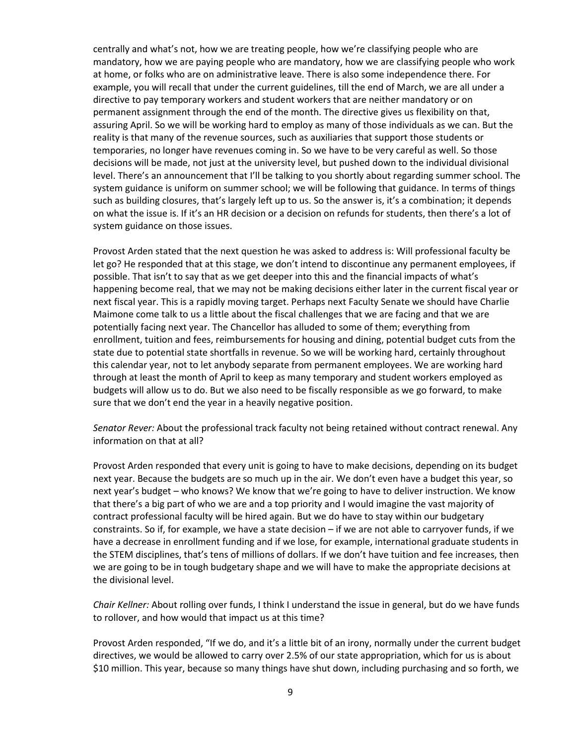centrally and what's not, how we are treating people, how we're classifying people who are mandatory, how we are paying people who are mandatory, how we are classifying people who work at home, or folks who are on administrative leave. There is also some independence there. For example, you will recall that under the current guidelines, till the end of March, we are all under a directive to pay temporary workers and student workers that are neither mandatory or on permanent assignment through the end of the month. The directive gives us flexibility on that, assuring April. So we will be working hard to employ as many of those individuals as we can. But the reality is that many of the revenue sources, such as auxiliaries that support those students or temporaries, no longer have revenues coming in. So we have to be very careful as well. So those decisions will be made, not just at the university level, but pushed down to the individual divisional level. There's an announcement that I'll be talking to you shortly about regarding summer school. The system guidance is uniform on summer school; we will be following that guidance. In terms of things such as building closures, that's largely left up to us. So the answer is, it's a combination; it depends on what the issue is. If it's an HR decision or a decision on refunds for students, then there's a lot of system guidance on those issues.

Provost Arden stated that the next question he was asked to address is: Will professional faculty be let go? He responded that at this stage, we don't intend to discontinue any permanent employees, if possible. That isn't to say that as we get deeper into this and the financial impacts of what's happening become real, that we may not be making decisions either later in the current fiscal year or next fiscal year. This is a rapidly moving target. Perhaps next Faculty Senate we should have Charlie Maimone come talk to us a little about the fiscal challenges that we are facing and that we are potentially facing next year. The Chancellor has alluded to some of them; everything from enrollment, tuition and fees, reimbursements for housing and dining, potential budget cuts from the state due to potential state shortfalls in revenue. So we will be working hard, certainly throughout this calendar year, not to let anybody separate from permanent employees. We are working hard through at least the month of April to keep as many temporary and student workers employed as budgets will allow us to do. But we also need to be fiscally responsible as we go forward, to make sure that we don't end the year in a heavily negative position.

*Senator Rever:* About the professional track faculty not being retained without contract renewal. Any information on that at all?

Provost Arden responded that every unit is going to have to make decisions, depending on its budget next year. Because the budgets are so much up in the air. We don't even have a budget this year, so next year's budget – who knows? We know that we're going to have to deliver instruction. We know that there's a big part of who we are and a top priority and I would imagine the vast majority of contract professional faculty will be hired again. But we do have to stay within our budgetary constraints. So if, for example, we have a state decision – if we are not able to carryover funds, if we have a decrease in enrollment funding and if we lose, for example, international graduate students in the STEM disciplines, that's tens of millions of dollars. If we don't have tuition and fee increases, then we are going to be in tough budgetary shape and we will have to make the appropriate decisions at the divisional level.

*Chair Kellner:* About rolling over funds, I think I understand the issue in general, but do we have funds to rollover, and how would that impact us at this time?

Provost Arden responded, "If we do, and it's a little bit of an irony, normally under the current budget directives, we would be allowed to carry over 2.5% of our state appropriation, which for us is about \$10 million. This year, because so many things have shut down, including purchasing and so forth, we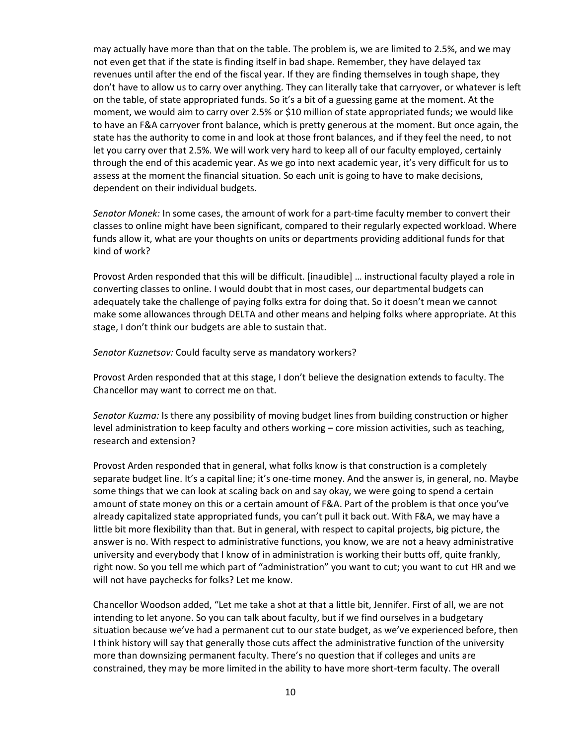may actually have more than that on the table. The problem is, we are limited to 2.5%, and we may not even get that if the state is finding itself in bad shape. Remember, they have delayed tax revenues until after the end of the fiscal year. If they are finding themselves in tough shape, they don't have to allow us to carry over anything. They can literally take that carryover, or whatever is left on the table, of state appropriated funds. So it's a bit of a guessing game at the moment. At the moment, we would aim to carry over 2.5% or \$10 million of state appropriated funds; we would like to have an F&A carryover front balance, which is pretty generous at the moment. But once again, the state has the authority to come in and look at those front balances, and if they feel the need, to not let you carry over that 2.5%. We will work very hard to keep all of our faculty employed, certainly through the end of this academic year. As we go into next academic year, it's very difficult for us to assess at the moment the financial situation. So each unit is going to have to make decisions, dependent on their individual budgets.

*Senator Monek:* In some cases, the amount of work for a part-time faculty member to convert their classes to online might have been significant, compared to their regularly expected workload. Where funds allow it, what are your thoughts on units or departments providing additional funds for that kind of work?

Provost Arden responded that this will be difficult. [inaudible] … instructional faculty played a role in converting classes to online. I would doubt that in most cases, our departmental budgets can adequately take the challenge of paying folks extra for doing that. So it doesn't mean we cannot make some allowances through DELTA and other means and helping folks where appropriate. At this stage, I don't think our budgets are able to sustain that.

*Senator Kuznetsov:* Could faculty serve as mandatory workers?

Provost Arden responded that at this stage, I don't believe the designation extends to faculty. The Chancellor may want to correct me on that.

*Senator Kuzma:* Is there any possibility of moving budget lines from building construction or higher level administration to keep faculty and others working – core mission activities, such as teaching, research and extension?

Provost Arden responded that in general, what folks know is that construction is a completely separate budget line. It's a capital line; it's one-time money. And the answer is, in general, no. Maybe some things that we can look at scaling back on and say okay, we were going to spend a certain amount of state money on this or a certain amount of F&A. Part of the problem is that once you've already capitalized state appropriated funds, you can't pull it back out. With F&A, we may have a little bit more flexibility than that. But in general, with respect to capital projects, big picture, the answer is no. With respect to administrative functions, you know, we are not a heavy administrative university and everybody that I know of in administration is working their butts off, quite frankly, right now. So you tell me which part of "administration" you want to cut; you want to cut HR and we will not have paychecks for folks? Let me know.

Chancellor Woodson added, "Let me take a shot at that a little bit, Jennifer. First of all, we are not intending to let anyone. So you can talk about faculty, but if we find ourselves in a budgetary situation because we've had a permanent cut to our state budget, as we've experienced before, then I think history will say that generally those cuts affect the administrative function of the university more than downsizing permanent faculty. There's no question that if colleges and units are constrained, they may be more limited in the ability to have more short-term faculty. The overall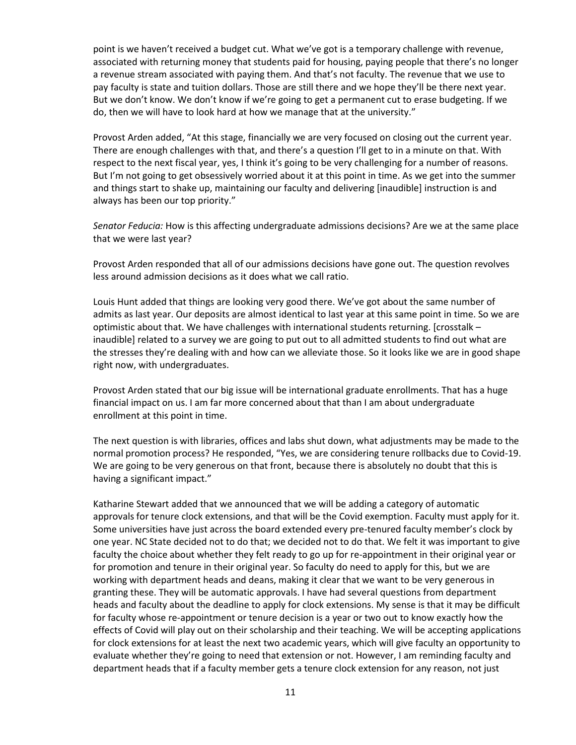point is we haven't received a budget cut. What we've got is a temporary challenge with revenue, associated with returning money that students paid for housing, paying people that there's no longer a revenue stream associated with paying them. And that's not faculty. The revenue that we use to pay faculty is state and tuition dollars. Those are still there and we hope they'll be there next year. But we don't know. We don't know if we're going to get a permanent cut to erase budgeting. If we do, then we will have to look hard at how we manage that at the university."

Provost Arden added, "At this stage, financially we are very focused on closing out the current year. There are enough challenges with that, and there's a question I'll get to in a minute on that. With respect to the next fiscal year, yes, I think it's going to be very challenging for a number of reasons. But I'm not going to get obsessively worried about it at this point in time. As we get into the summer and things start to shake up, maintaining our faculty and delivering [inaudible] instruction is and always has been our top priority."

*Senator Feducia:* How is this affecting undergraduate admissions decisions? Are we at the same place that we were last year?

Provost Arden responded that all of our admissions decisions have gone out. The question revolves less around admission decisions as it does what we call ratio.

Louis Hunt added that things are looking very good there. We've got about the same number of admits as last year. Our deposits are almost identical to last year at this same point in time. So we are optimistic about that. We have challenges with international students returning. [crosstalk – inaudible] related to a survey we are going to put out to all admitted students to find out what are the stresses they're dealing with and how can we alleviate those. So it looks like we are in good shape right now, with undergraduates.

Provost Arden stated that our big issue will be international graduate enrollments. That has a huge financial impact on us. I am far more concerned about that than I am about undergraduate enrollment at this point in time.

The next question is with libraries, offices and labs shut down, what adjustments may be made to the normal promotion process? He responded, "Yes, we are considering tenure rollbacks due to Covid-19. We are going to be very generous on that front, because there is absolutely no doubt that this is having a significant impact."

Katharine Stewart added that we announced that we will be adding a category of automatic approvals for tenure clock extensions, and that will be the Covid exemption. Faculty must apply for it. Some universities have just across the board extended every pre-tenured faculty member's clock by one year. NC State decided not to do that; we decided not to do that. We felt it was important to give faculty the choice about whether they felt ready to go up for re-appointment in their original year or for promotion and tenure in their original year. So faculty do need to apply for this, but we are working with department heads and deans, making it clear that we want to be very generous in granting these. They will be automatic approvals. I have had several questions from department heads and faculty about the deadline to apply for clock extensions. My sense is that it may be difficult for faculty whose re-appointment or tenure decision is a year or two out to know exactly how the effects of Covid will play out on their scholarship and their teaching. We will be accepting applications for clock extensions for at least the next two academic years, which will give faculty an opportunity to evaluate whether they're going to need that extension or not. However, I am reminding faculty and department heads that if a faculty member gets a tenure clock extension for any reason, not just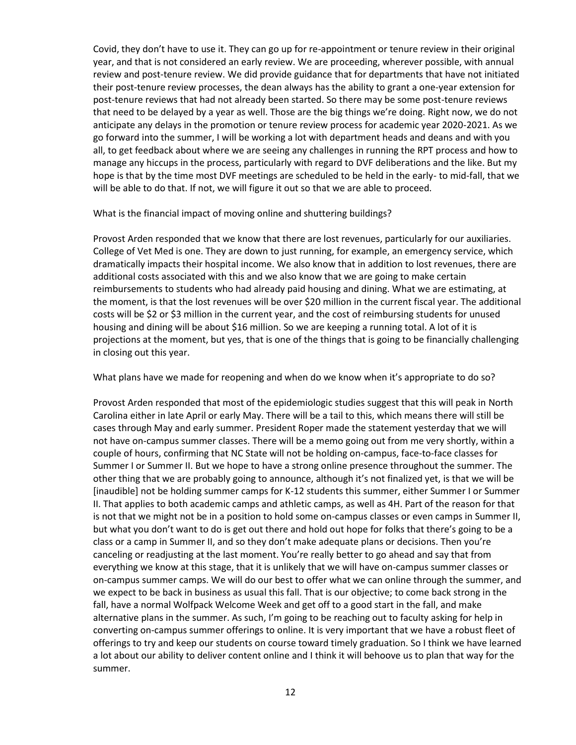Covid, they don't have to use it. They can go up for re-appointment or tenure review in their original year, and that is not considered an early review. We are proceeding, wherever possible, with annual review and post-tenure review. We did provide guidance that for departments that have not initiated their post-tenure review processes, the dean always has the ability to grant a one-year extension for post-tenure reviews that had not already been started. So there may be some post-tenure reviews that need to be delayed by a year as well. Those are the big things we're doing. Right now, we do not anticipate any delays in the promotion or tenure review process for academic year 2020-2021. As we go forward into the summer, I will be working a lot with department heads and deans and with you all, to get feedback about where we are seeing any challenges in running the RPT process and how to manage any hiccups in the process, particularly with regard to DVF deliberations and the like. But my hope is that by the time most DVF meetings are scheduled to be held in the early- to mid-fall, that we will be able to do that. If not, we will figure it out so that we are able to proceed.

#### What is the financial impact of moving online and shuttering buildings?

Provost Arden responded that we know that there are lost revenues, particularly for our auxiliaries. College of Vet Med is one. They are down to just running, for example, an emergency service, which dramatically impacts their hospital income. We also know that in addition to lost revenues, there are additional costs associated with this and we also know that we are going to make certain reimbursements to students who had already paid housing and dining. What we are estimating, at the moment, is that the lost revenues will be over \$20 million in the current fiscal year. The additional costs will be \$2 or \$3 million in the current year, and the cost of reimbursing students for unused housing and dining will be about \$16 million. So we are keeping a running total. A lot of it is projections at the moment, but yes, that is one of the things that is going to be financially challenging in closing out this year.

What plans have we made for reopening and when do we know when it's appropriate to do so?

Provost Arden responded that most of the epidemiologic studies suggest that this will peak in North Carolina either in late April or early May. There will be a tail to this, which means there will still be cases through May and early summer. President Roper made the statement yesterday that we will not have on-campus summer classes. There will be a memo going out from me very shortly, within a couple of hours, confirming that NC State will not be holding on-campus, face-to-face classes for Summer I or Summer II. But we hope to have a strong online presence throughout the summer. The other thing that we are probably going to announce, although it's not finalized yet, is that we will be [inaudible] not be holding summer camps for K-12 students this summer, either Summer I or Summer II. That applies to both academic camps and athletic camps, as well as 4H. Part of the reason for that is not that we might not be in a position to hold some on-campus classes or even camps in Summer II, but what you don't want to do is get out there and hold out hope for folks that there's going to be a class or a camp in Summer II, and so they don't make adequate plans or decisions. Then you're canceling or readjusting at the last moment. You're really better to go ahead and say that from everything we know at this stage, that it is unlikely that we will have on-campus summer classes or on-campus summer camps. We will do our best to offer what we can online through the summer, and we expect to be back in business as usual this fall. That is our objective; to come back strong in the fall, have a normal Wolfpack Welcome Week and get off to a good start in the fall, and make alternative plans in the summer. As such, I'm going to be reaching out to faculty asking for help in converting on-campus summer offerings to online. It is very important that we have a robust fleet of offerings to try and keep our students on course toward timely graduation. So I think we have learned a lot about our ability to deliver content online and I think it will behoove us to plan that way for the summer.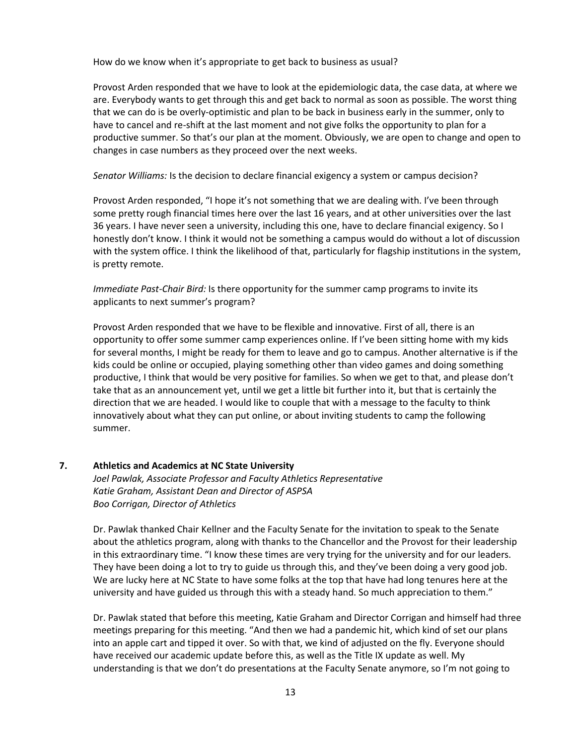How do we know when it's appropriate to get back to business as usual?

Provost Arden responded that we have to look at the epidemiologic data, the case data, at where we are. Everybody wants to get through this and get back to normal as soon as possible. The worst thing that we can do is be overly-optimistic and plan to be back in business early in the summer, only to have to cancel and re-shift at the last moment and not give folks the opportunity to plan for a productive summer. So that's our plan at the moment. Obviously, we are open to change and open to changes in case numbers as they proceed over the next weeks.

*Senator Williams:* Is the decision to declare financial exigency a system or campus decision?

Provost Arden responded, "I hope it's not something that we are dealing with. I've been through some pretty rough financial times here over the last 16 years, and at other universities over the last 36 years. I have never seen a university, including this one, have to declare financial exigency. So I honestly don't know. I think it would not be something a campus would do without a lot of discussion with the system office. I think the likelihood of that, particularly for flagship institutions in the system, is pretty remote.

*Immediate Past-Chair Bird:* Is there opportunity for the summer camp programs to invite its applicants to next summer's program?

Provost Arden responded that we have to be flexible and innovative. First of all, there is an opportunity to offer some summer camp experiences online. If I've been sitting home with my kids for several months, I might be ready for them to leave and go to campus. Another alternative is if the kids could be online or occupied, playing something other than video games and doing something productive, I think that would be very positive for families. So when we get to that, and please don't take that as an announcement yet, until we get a little bit further into it, but that is certainly the direction that we are headed. I would like to couple that with a message to the faculty to think innovatively about what they can put online, or about inviting students to camp the following summer.

#### **7. Athletics and Academics at NC State University**

*Joel Pawlak, Associate Professor and Faculty Athletics Representative Katie Graham, Assistant Dean and Director of ASPSA Boo Corrigan, Director of Athletics* 

Dr. Pawlak thanked Chair Kellner and the Faculty Senate for the invitation to speak to the Senate about the athletics program, along with thanks to the Chancellor and the Provost for their leadership in this extraordinary time. "I know these times are very trying for the university and for our leaders. They have been doing a lot to try to guide us through this, and they've been doing a very good job. We are lucky here at NC State to have some folks at the top that have had long tenures here at the university and have guided us through this with a steady hand. So much appreciation to them."

Dr. Pawlak stated that before this meeting, Katie Graham and Director Corrigan and himself had three meetings preparing for this meeting. "And then we had a pandemic hit, which kind of set our plans into an apple cart and tipped it over. So with that, we kind of adjusted on the fly. Everyone should have received our academic update before this, as well as the Title IX update as well. My understanding is that we don't do presentations at the Faculty Senate anymore, so I'm not going to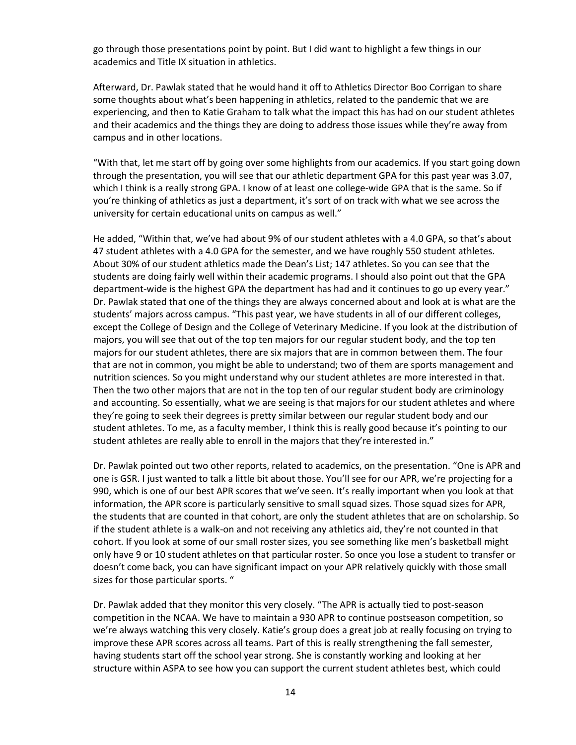go through those presentations point by point. But I did want to highlight a few things in our academics and Title IX situation in athletics.

Afterward, Dr. Pawlak stated that he would hand it off to Athletics Director Boo Corrigan to share some thoughts about what's been happening in athletics, related to the pandemic that we are experiencing, and then to Katie Graham to talk what the impact this has had on our student athletes and their academics and the things they are doing to address those issues while they're away from campus and in other locations.

"With that, let me start off by going over some highlights from our academics. If you start going down through the presentation, you will see that our athletic department GPA for this past year was 3.07, which I think is a really strong GPA. I know of at least one college-wide GPA that is the same. So if you're thinking of athletics as just a department, it's sort of on track with what we see across the university for certain educational units on campus as well."

He added, "Within that, we've had about 9% of our student athletes with a 4.0 GPA, so that's about 47 student athletes with a 4.0 GPA for the semester, and we have roughly 550 student athletes. About 30% of our student athletics made the Dean's List; 147 athletes. So you can see that the students are doing fairly well within their academic programs. I should also point out that the GPA department-wide is the highest GPA the department has had and it continues to go up every year." Dr. Pawlak stated that one of the things they are always concerned about and look at is what are the students' majors across campus. "This past year, we have students in all of our different colleges, except the College of Design and the College of Veterinary Medicine. If you look at the distribution of majors, you will see that out of the top ten majors for our regular student body, and the top ten majors for our student athletes, there are six majors that are in common between them. The four that are not in common, you might be able to understand; two of them are sports management and nutrition sciences. So you might understand why our student athletes are more interested in that. Then the two other majors that are not in the top ten of our regular student body are criminology and accounting. So essentially, what we are seeing is that majors for our student athletes and where they're going to seek their degrees is pretty similar between our regular student body and our student athletes. To me, as a faculty member, I think this is really good because it's pointing to our student athletes are really able to enroll in the majors that they're interested in."

Dr. Pawlak pointed out two other reports, related to academics, on the presentation. "One is APR and one is GSR. I just wanted to talk a little bit about those. You'll see for our APR, we're projecting for a 990, which is one of our best APR scores that we've seen. It's really important when you look at that information, the APR score is particularly sensitive to small squad sizes. Those squad sizes for APR, the students that are counted in that cohort, are only the student athletes that are on scholarship. So if the student athlete is a walk-on and not receiving any athletics aid, they're not counted in that cohort. If you look at some of our small roster sizes, you see something like men's basketball might only have 9 or 10 student athletes on that particular roster. So once you lose a student to transfer or doesn't come back, you can have significant impact on your APR relatively quickly with those small sizes for those particular sports. "

Dr. Pawlak added that they monitor this very closely. "The APR is actually tied to post-season competition in the NCAA. We have to maintain a 930 APR to continue postseason competition, so we're always watching this very closely. Katie's group does a great job at really focusing on trying to improve these APR scores across all teams. Part of this is really strengthening the fall semester, having students start off the school year strong. She is constantly working and looking at her structure within ASPA to see how you can support the current student athletes best, which could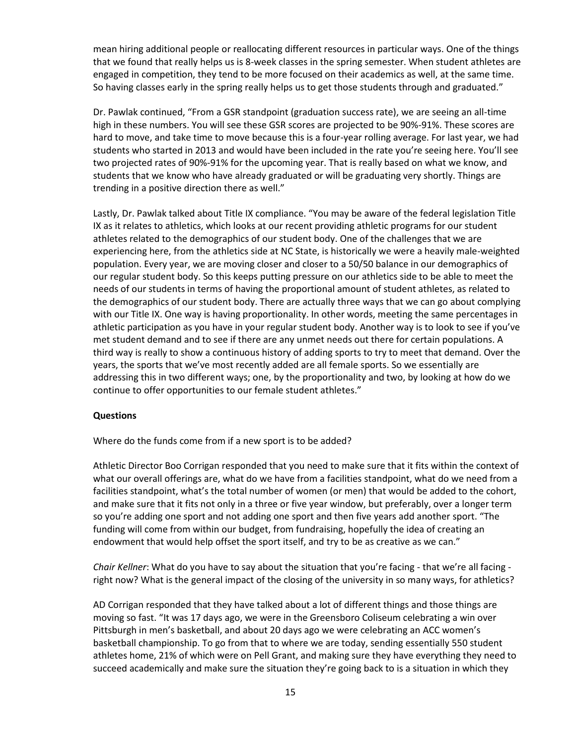mean hiring additional people or reallocating different resources in particular ways. One of the things that we found that really helps us is 8-week classes in the spring semester. When student athletes are engaged in competition, they tend to be more focused on their academics as well, at the same time. So having classes early in the spring really helps us to get those students through and graduated."

Dr. Pawlak continued, "From a GSR standpoint (graduation success rate), we are seeing an all-time high in these numbers. You will see these GSR scores are projected to be 90%-91%. These scores are hard to move, and take time to move because this is a four-year rolling average. For last year, we had students who started in 2013 and would have been included in the rate you're seeing here. You'll see two projected rates of 90%-91% for the upcoming year. That is really based on what we know, and students that we know who have already graduated or will be graduating very shortly. Things are trending in a positive direction there as well."

Lastly, Dr. Pawlak talked about Title IX compliance. "You may be aware of the federal legislation Title IX as it relates to athletics, which looks at our recent providing athletic programs for our student athletes related to the demographics of our student body. One of the challenges that we are experiencing here, from the athletics side at NC State, is historically we were a heavily male-weighted population. Every year, we are moving closer and closer to a 50/50 balance in our demographics of our regular student body. So this keeps putting pressure on our athletics side to be able to meet the needs of our students in terms of having the proportional amount of student athletes, as related to the demographics of our student body. There are actually three ways that we can go about complying with our Title IX. One way is having proportionality. In other words, meeting the same percentages in athletic participation as you have in your regular student body. Another way is to look to see if you've met student demand and to see if there are any unmet needs out there for certain populations. A third way is really to show a continuous history of adding sports to try to meet that demand. Over the years, the sports that we've most recently added are all female sports. So we essentially are addressing this in two different ways; one, by the proportionality and two, by looking at how do we continue to offer opportunities to our female student athletes."

#### **Questions**

Where do the funds come from if a new sport is to be added?

Athletic Director Boo Corrigan responded that you need to make sure that it fits within the context of what our overall offerings are, what do we have from a facilities standpoint, what do we need from a facilities standpoint, what's the total number of women (or men) that would be added to the cohort, and make sure that it fits not only in a three or five year window, but preferably, over a longer term so you're adding one sport and not adding one sport and then five years add another sport. "The funding will come from within our budget, from fundraising, hopefully the idea of creating an endowment that would help offset the sport itself, and try to be as creative as we can."

*Chair Kellner*: What do you have to say about the situation that you're facing - that we're all facing right now? What is the general impact of the closing of the university in so many ways, for athletics?

AD Corrigan responded that they have talked about a lot of different things and those things are moving so fast. "It was 17 days ago, we were in the Greensboro Coliseum celebrating a win over Pittsburgh in men's basketball, and about 20 days ago we were celebrating an ACC women's basketball championship. To go from that to where we are today, sending essentially 550 student athletes home, 21% of which were on Pell Grant, and making sure they have everything they need to succeed academically and make sure the situation they're going back to is a situation in which they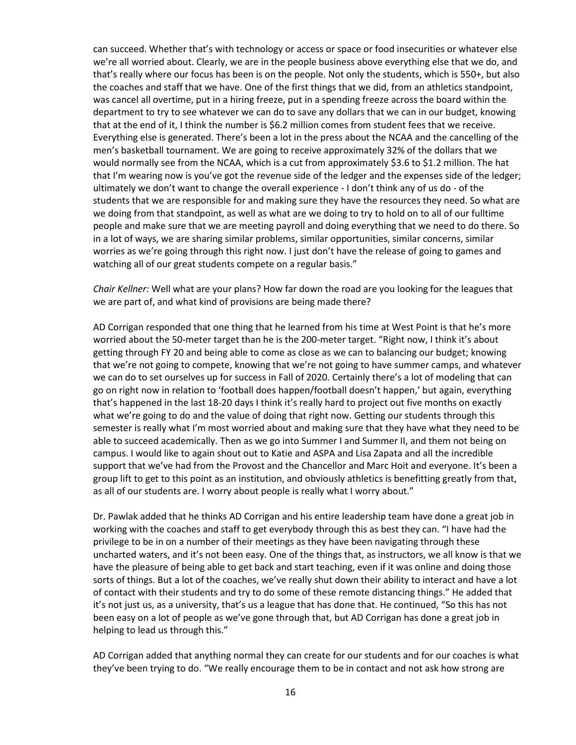can succeed. Whether that's with technology or access or space or food insecurities or whatever else we're all worried about. Clearly, we are in the people business above everything else that we do, and that's really where our focus has been is on the people. Not only the students, which is 550+, but also the coaches and staff that we have. One of the first things that we did, from an athletics standpoint, was cancel all overtime, put in a hiring freeze, put in a spending freeze across the board within the department to try to see whatever we can do to save any dollars that we can in our budget, knowing that at the end of it, I think the number is \$6.2 million comes from student fees that we receive. Everything else is generated. There's been a lot in the press about the NCAA and the cancelling of the men's basketball tournament. We are going to receive approximately 32% of the dollars that we would normally see from the NCAA, which is a cut from approximately \$3.6 to \$1.2 million. The hat that I'm wearing now is you've got the revenue side of the ledger and the expenses side of the ledger; ultimately we don't want to change the overall experience - I don't think any of us do - of the students that we are responsible for and making sure they have the resources they need. So what are we doing from that standpoint, as well as what are we doing to try to hold on to all of our fulltime people and make sure that we are meeting payroll and doing everything that we need to do there. So in a lot of ways, we are sharing similar problems, similar opportunities, similar concerns, similar worries as we're going through this right now. I just don't have the release of going to games and watching all of our great students compete on a regular basis."

*Chair Kellner:* Well what are your plans? How far down the road are you looking for the leagues that we are part of, and what kind of provisions are being made there?

AD Corrigan responded that one thing that he learned from his time at West Point is that he's more worried about the 50-meter target than he is the 200-meter target. "Right now, I think it's about getting through FY 20 and being able to come as close as we can to balancing our budget; knowing that we're not going to compete, knowing that we're not going to have summer camps, and whatever we can do to set ourselves up for success in Fall of 2020. Certainly there's a lot of modeling that can go on right now in relation to 'football does happen/football doesn't happen,' but again, everything that's happened in the last 18-20 days I think it's really hard to project out five months on exactly what we're going to do and the value of doing that right now. Getting our students through this semester is really what I'm most worried about and making sure that they have what they need to be able to succeed academically. Then as we go into Summer I and Summer II, and them not being on campus. I would like to again shout out to Katie and ASPA and Lisa Zapata and all the incredible support that we've had from the Provost and the Chancellor and Marc Hoit and everyone. It's been a group lift to get to this point as an institution, and obviously athletics is benefitting greatly from that, as all of our students are. I worry about people is really what I worry about."

Dr. Pawlak added that he thinks AD Corrigan and his entire leadership team have done a great job in working with the coaches and staff to get everybody through this as best they can. "I have had the privilege to be in on a number of their meetings as they have been navigating through these uncharted waters, and it's not been easy. One of the things that, as instructors, we all know is that we have the pleasure of being able to get back and start teaching, even if it was online and doing those sorts of things. But a lot of the coaches, we've really shut down their ability to interact and have a lot of contact with their students and try to do some of these remote distancing things." He added that it's not just us, as a university, that's us a league that has done that. He continued, "So this has not been easy on a lot of people as we've gone through that, but AD Corrigan has done a great job in helping to lead us through this."

AD Corrigan added that anything normal they can create for our students and for our coaches is what they've been trying to do. "We really encourage them to be in contact and not ask how strong are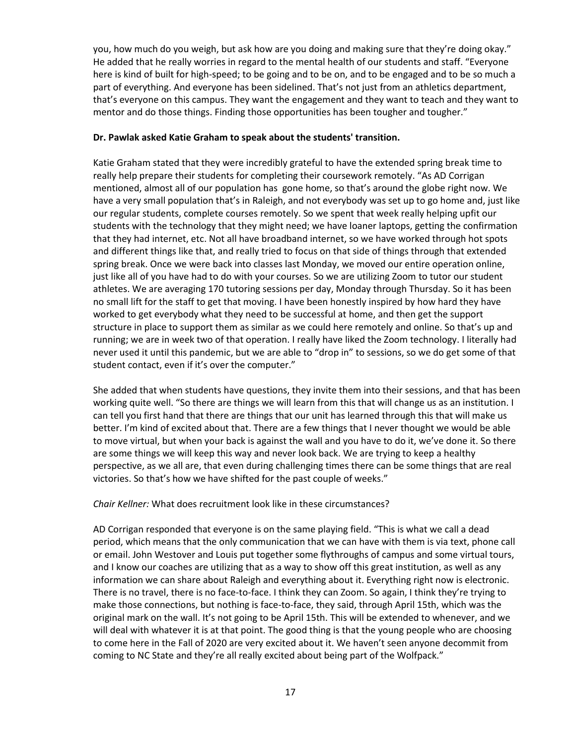you, how much do you weigh, but ask how are you doing and making sure that they're doing okay." He added that he really worries in regard to the mental health of our students and staff. "Everyone here is kind of built for high-speed; to be going and to be on, and to be engaged and to be so much a part of everything. And everyone has been sidelined. That's not just from an athletics department, that's everyone on this campus. They want the engagement and they want to teach and they want to mentor and do those things. Finding those opportunities has been tougher and tougher."

### **Dr. Pawlak asked Katie Graham to speak about the students' transition.**

Katie Graham stated that they were incredibly grateful to have the extended spring break time to really help prepare their students for completing their coursework remotely. "As AD Corrigan mentioned, almost all of our population has gone home, so that's around the globe right now. We have a very small population that's in Raleigh, and not everybody was set up to go home and, just like our regular students, complete courses remotely. So we spent that week really helping upfit our students with the technology that they might need; we have loaner laptops, getting the confirmation that they had internet, etc. Not all have broadband internet, so we have worked through hot spots and different things like that, and really tried to focus on that side of things through that extended spring break. Once we were back into classes last Monday, we moved our entire operation online, just like all of you have had to do with your courses. So we are utilizing Zoom to tutor our student athletes. We are averaging 170 tutoring sessions per day, Monday through Thursday. So it has been no small lift for the staff to get that moving. I have been honestly inspired by how hard they have worked to get everybody what they need to be successful at home, and then get the support structure in place to support them as similar as we could here remotely and online. So that's up and running; we are in week two of that operation. I really have liked the Zoom technology. I literally had never used it until this pandemic, but we are able to "drop in" to sessions, so we do get some of that student contact, even if it's over the computer."

She added that when students have questions, they invite them into their sessions, and that has been working quite well. "So there are things we will learn from this that will change us as an institution. I can tell you first hand that there are things that our unit has learned through this that will make us better. I'm kind of excited about that. There are a few things that I never thought we would be able to move virtual, but when your back is against the wall and you have to do it, we've done it. So there are some things we will keep this way and never look back. We are trying to keep a healthy perspective, as we all are, that even during challenging times there can be some things that are real victories. So that's how we have shifted for the past couple of weeks."

*Chair Kellner:* What does recruitment look like in these circumstances?

AD Corrigan responded that everyone is on the same playing field. "This is what we call a dead period, which means that the only communication that we can have with them is via text, phone call or email. John Westover and Louis put together some flythroughs of campus and some virtual tours, and I know our coaches are utilizing that as a way to show off this great institution, as well as any information we can share about Raleigh and everything about it. Everything right now is electronic. There is no travel, there is no face-to-face. I think they can Zoom. So again, I think they're trying to make those connections, but nothing is face-to-face, they said, through April 15th, which was the original mark on the wall. It's not going to be April 15th. This will be extended to whenever, and we will deal with whatever it is at that point. The good thing is that the young people who are choosing to come here in the Fall of 2020 are very excited about it. We haven't seen anyone decommit from coming to NC State and they're all really excited about being part of the Wolfpack."